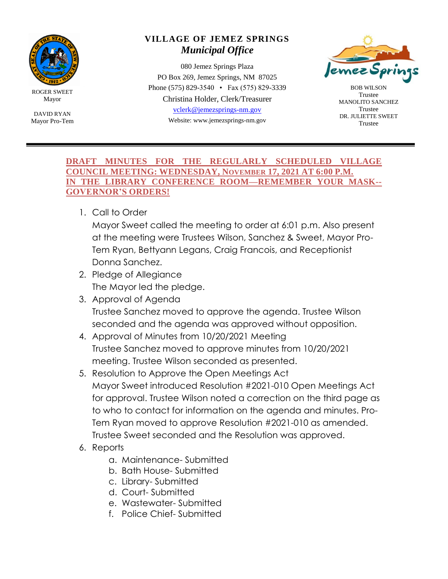

ROGER SWEET Mayor

DAVID RYAN Mayor Pro-Tem

## **VILLAGE OF JEMEZ SPRINGS** *Municipal Office*

080 Jemez Springs Plaza PO Box 269, Jemez Springs, NM 87025 Phone (575) 829-3540 • Fax (575) 829-3339 Christina Holder, Clerk/Treasurer [vclerk@jemezsprings-nm.gov](mailto:vclerk@jemezsprings-nm.gov) Website: www.jemezsprings-nm.gov



BOB WILSON Trustee MANOLITO SANCHEZ Trustee DR. JULIETTE SWEET Trustee

## **DRAFT MINUTES FOR THE REGULARLY SCHEDULED VILLAGE COUNCIL MEETING: WEDNESDAY, NOVEMBER 17, 2021 AT 6:00 P.M. IN THE LIBRARY CONFERENCE ROOM—REMEMBER YOUR MASK-- GOVERNOR'S ORDERS!**

1. Call to Order

Mayor Sweet called the meeting to order at 6:01 p.m. Also present at the meeting were Trustees Wilson, Sanchez & Sweet, Mayor Pro-Tem Ryan, Bettyann Legans, Craig Francois, and Receptionist Donna Sanchez.

- 2. Pledge of Allegiance The Mayor led the pledge.
- 3. Approval of Agenda Trustee Sanchez moved to approve the agenda. Trustee Wilson seconded and the agenda was approved without opposition.
- 4. Approval of Minutes from 10/20/2021 Meeting Trustee Sanchez moved to approve minutes from 10/20/2021 meeting. Trustee Wilson seconded as presented.
- 5. Resolution to Approve the Open Meetings Act Mayor Sweet introduced Resolution #2021-010 Open Meetings Act for approval. Trustee Wilson noted a correction on the third page as to who to contact for information on the agenda and minutes. Pro-Tem Ryan moved to approve Resolution #2021-010 as amended. Trustee Sweet seconded and the Resolution was approved.
- 6. Reports
	- a. Maintenance- Submitted
	- b. Bath House- Submitted
	- c. Library- Submitted
	- d. Court- Submitted
	- e. Wastewater- Submitted
	- f. Police Chief- Submitted